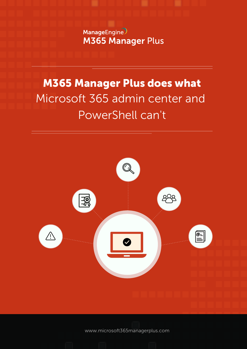ManageEngine **M365 Manager Plus** 

# Microsoft 365 admin center and PowerShell can't M365 Manager Plus does what



www.microsoft[365managerplus.com](https://www.manageengine.com/microsoft-365-management-reporting/index.html?utm_source=pdf&utm_content=mmp-does-ps-cant-pdf)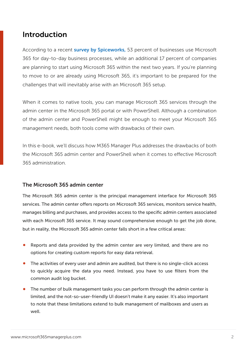# Introduction

According to a recent [survey by Spiceworks,](https://community.spiceworks.com/software/articles/2873-data-snapshot-the-state-of-productivity-suites-in-the-workplace) 53 percent of businesses use Microsoft 365 for day-to-day business processes, while an additional 17 percent of companies are planning to start using Microsoft 365 within the next two years. If you're planning to move to or are already using Microsoft 365, it's important to be prepared for the challenges that will inevitably arise with an Microsoft 365 setup.

When it comes to native tools, you can manage Microsoft 365 services through the admin center in the Microsoft 365 portal or with PowerShell. Although a combination of the admin center and PowerShell might be enough to meet your Microsoft 365 management needs, both tools come with drawbacks of their own.

In this e-book, we'll discuss how M365 Manager Plus addresses the drawbacks of both the Microsoft 365 admin center and PowerShell when it comes to effective Microsoft 365 administration.

#### The Microsoft 365 admin center

The Microsoft 365 admin center is the principal management interface for Microsoft 365 services. The admin center offers reports on Microsoft 365 services, monitors service health, manages billing and purchases, and provides access to the specific admin centers associated with each Microsoft 365 service. It may sound comprehensive enough to get the job done, but in reality, the Microsoft 365 admin center falls short in a few critical areas:

- Reports and data provided by the admin center are very limited, and there are no options for creating custom reports for easy data retrieval.
- The activities of every user and admin are audited, but there is no single-click access to quickly acquire the data you need. Instead, you have to use filters from the common audit log bucket.
- The number of bulk management tasks you can perform through the admin center is limited, and the not-so-user-friendly UI doesn't make it any easier. It's also important to note that these limitations extend to bulk management of mailboxes and users as well.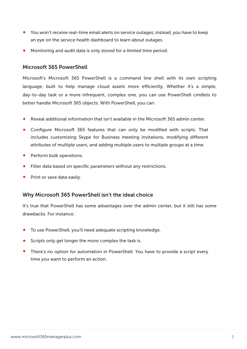- You won't receive real-time email alerts on service outages; instead, you have to keep an eye on the service health dashboard to learn about outages.
- Monitoring and audit data is only stored for a limited time period.

#### Microsoft 365 PowerShell

Microsoft's Microsoft 365 PowerShell is a command line shell with its own scripting language, built to help manage cloud assets more efficiently. Whether it's a simple, day-to-day task or a more infrequent, complex one, you can use PowerShell cmdlets to better handle Microsoft 365 objects. With PowerShell, you can:

- Reveal additional information that isn't available in the Microsoft 365 admin center.
- Configure Microsoft 365 features that can only be modified with scripts. That includes customizing Skype for Business meeting invitations, modifying different attributes of multiple users, and adding multiple users to multiple groups at a time.
- Perform bulk operations.
- **•** Filter data based on specific parameters without any restrictions.
- Print or save data easily.

#### Why Microsoft 365 PowerShell isn't the ideal choice

It's true that PowerShell has some advantages over the admin center, but it still has some drawbacks. For instance:

- To use PowerShell, you'll need adequate scripting knowledge.
- Scripts only get longer the more complex the task is.
- There's no option for automation in PowerShell. You have to provide a script every time you want to perform an action.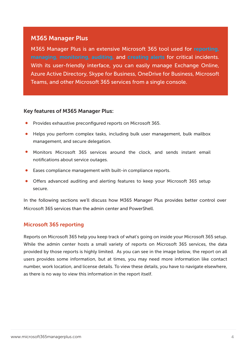# M365 Manager Plus

M365 Manager Plus is an extensive Microsoft 365 tool used for [reporting,](https://www.manageengine.com/microsoft-365-management-reporting/microsoft-365-reporting-tool.html?utm_source=pdf&utm_content=mmp-does-ps-cant-pdf) [managing,](https://www.manageengine.com/microsoft-365-management-reporting/microsoft-365-management-tool.html?utm_source=pdf&utm_content=mmp-does-ps-cant-pdf) [monitoring,](https://www.manageengine.com/microsoft-365-management-reporting/microsoft-365-monitoring-tool.html?utm_source=pdf&utm_content=mmp-does-ps-cant-pdf) auditing, and [creating alerts](https://www.manageengine.com/microsoft-365-management-reporting/microsoft-microsoft-365-alerts.html?utm_source=pdf&utm_content=mmp-does-ps-cant-pdf) for critical incidents. With its user-friendly interface, you can easily manage Exchange Online, Azure Active Directory, Skype for Business, OneDrive for Business, Microsoft Teams, and other Microsoft 365 services from a single console.

#### Key features of M365 Manager Plus:

- Provides exhaustive preconfigured reports on Microsoft 365.
- Helps you perform complex tasks, including bulk user management, bulk mailbox management, and secure delegation.
- Monitors Microsoft 365 services around the clock, and sends instant email notifications about service outages.
- Eases compliance management with built-in compliance reports.
- Offers advanced auditing and alerting features to keep your Microsoft 365 setup secure.

In the following sections we'll discuss how M365 Manager Plus provides better control over Microsoft 365 services than the admin center and PowerShell.

# Microsoft 365 reporting

Reports on Microsoft 365 help you keep track of what's going on inside your Microsoft 365 setup. While the admin center hosts a small variety of reports on Microsoft 365 services, the data provided by those reports is highly limited. As you can see in the image below, the report on all users provides some information, but at times, you may need more information like contact number, work location, and license details. To view these details, you have to navigate elsewhere, as there is no way to view this information in the report itself.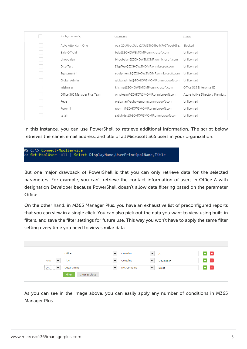|  | Display name $\land$         | Username                                       | Status                        |
|--|------------------------------|------------------------------------------------|-------------------------------|
|  | Auto Attendant One           | oaa 26d0bdd5dda245d28b06be1c7e97ebeb@z Blocked |                               |
|  | Bala-Official                | bala@ZOHOWSMOMP.onmicrosoft.com                | Unlicensed                    |
|  | bhoobalan                    | bhoobalan@ZOHOWSMOMP.onmicrosoft.com           | Unlicensed                    |
|  | Disp Test                    | DispTest@ZOHOWSMOMP.onmicrosoft.com            | Unlicensed                    |
|  | Equipment 1                  | equipment1@ZOHOWSMOMP.onmicrosoft.com          | Unlicensed                    |
|  | Global Admin                 | globaladmin@ZOHOWSMOMP.onmicrosoft.com         | Unlicensed                    |
|  | krishna u                    | krishna@ZOHOWSMOMP.onmicrosoft.com             | Office 365 Enterprise E5      |
|  | Office 365 Manager Plus Team | ompteam@ZOHOWSMOMP.onmicrosoft.com             | Azure Active Directory Premiu |
|  | Pepe                         | prabahar@zohowsmomp.onmicrosoft.com            | Unlicensed                    |
|  | Room 1                       | room1@ZOHOWSMOMP.onmicrosoft.com               | Unlicensed                    |
|  | satish                       | satish-test@ZOHOWSMOMP.onmicrosoft.com         | Unlicensed                    |

In this instance, you can use PowerShell to retrieve additional information. The script below retrieves the name, email address, and title of all Microsoft 365 users in your organization.

|  | PS C:\> Connect-MsolService |                                                                     |  |
|--|-----------------------------|---------------------------------------------------------------------|--|
|  |                             | >> Get-MsolUser -All   Select DisplayName, UserPrincipalName, Title |  |

But one major drawback of PowerShell is that you can only retrieve data for the selected parameters. For example, you can't retrieve the contact information of users in Office A with designation Developer because PowerShell doesn't allow data filtering based on the parameter  $Off$ <sub> $ce$ </sub>

On the other hand, in M365 Manager Plus, you have an exhaustive list of preconfigured reports that you can view in a single click. You can also pick out the data you want to view using built-in filters, and save the filter settings for future use. This way you won't have to apply the same filter setting every time you need to view similar data.

|                                               | Office     | $\checkmark$ | Contains            | $\checkmark$ | Α         | $+$ $\vert x \vert$       |
|-----------------------------------------------|------------|--------------|---------------------|--------------|-----------|---------------------------|
| <b>AND</b><br>$\checkmark$                    | Title      | $\checkmark$ | Contains            | $\checkmark$ | Developer | $+$ $\mathbf{X}$          |
| 0R<br>$\checkmark$<br>*********************** | Department | $\checkmark$ | <b>Not Contains</b> | $\checkmark$ | Sales     | $+$ $\mathbb{R}$ $\times$ |

As you can see in the image above, you can easily apply any number of conditions in M365 Manager Plus.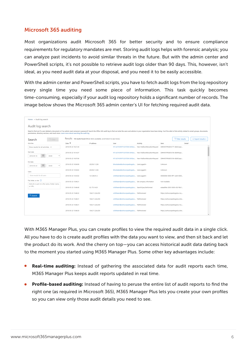### Microsoft 365 auditing

Most organizations audit Microsoft 365 for better security and to ensure compliance requirements for regulatory mandates are met. Storing audit logs helps with forensic analysis; you can analyze past incidents to avoid similar threats in the future. But with the admin center and PowerShell scripts, it's not possible to retrieve audit logs older than 90 days. This, however, isn't ideal, as you need audit data at your disposal, and you need it to be easily accessible.

With the admin center and PowerShell scripts, you have to fetch audit logs from the log repository every single time you need some piece of information. This task quickly becomes time-consuming, especially if your audit log repository holds a significant number of records. The image below shows the Microsoft 365 admin center's UI for fetching required audit data.

| Home > Audit log search                                                                                                                                                                                                                                                                                                    |                           |                                                                            |                                                    |                                                         |                                |                         |                                |
|----------------------------------------------------------------------------------------------------------------------------------------------------------------------------------------------------------------------------------------------------------------------------------------------------------------------------|---------------------------|----------------------------------------------------------------------------|----------------------------------------------------|---------------------------------------------------------|--------------------------------|-------------------------|--------------------------------|
|                                                                                                                                                                                                                                                                                                                            |                           |                                                                            |                                                    |                                                         |                                |                         |                                |
| Audit log search                                                                                                                                                                                                                                                                                                           |                           |                                                                            |                                                    |                                                         |                                |                         |                                |
| Need to find out if a user deleted a document or if an admin reset someone's password? Search the Office 365 audit log to find out what the users and admins in your organization have been doing. You'll be able to find acti<br>permissions, directory services, and much more. Learn more about searching the audit log |                           |                                                                            |                                                    |                                                         |                                |                         |                                |
|                                                                                                                                                                                                                                                                                                                            |                           |                                                                            |                                                    |                                                         |                                |                         |                                |
| 7 Clear<br>Search                                                                                                                                                                                                                                                                                                          |                           | Results 150 results found (More items available, scroll down to see more.) |                                                    |                                                         |                                | $\nabla$ Filter results | $\perp$ Export results $\star$ |
| <b>Activities</b>                                                                                                                                                                                                                                                                                                          | Date $\blacktriangledown$ | IP address                                                                 | User                                               | Activity                                                | Item                           | Detail                  |                                |
| Show results for all activities +                                                                                                                                                                                                                                                                                          | 2018-05-23 16:21:34       |                                                                            |                                                    | NT AUTHORITY\SYSTEM (MSExc New-MailboxRelocationRequest | DB#APCPR04DG177-db032:apc      |                         | $\Delta$<br>ш                  |
| Start date                                                                                                                                                                                                                                                                                                                 | 2018-05-23 16:14:37       |                                                                            |                                                    | NT AUTHORITY\SYSTEM (MSExc New-MailboxRelocationRequest | DB#APCPR04DG156-db099:apc      |                         |                                |
| 圖<br>00:00<br>2018-05-16<br>$\boldsymbol{\mathrm{v}}$                                                                                                                                                                                                                                                                      | 2018-05-23 16:07:04       |                                                                            |                                                    | NT AUTHORITY\SYSTEM (MSExc New-MailboxRelocationRequest | DB#APCPR04DG104-db092:apc      |                         |                                |
| <b>End date</b>                                                                                                                                                                                                                                                                                                            |                           |                                                                            |                                                    |                                                         |                                |                         |                                |
| 圗<br>00:00<br>2018-05-24                                                                                                                                                                                                                                                                                                   | 2018-05-23 16:04:06       | 202.58.11.236                                                              | bhoobalan@zohocorpadmgrplu UserLoggedIn            |                                                         | Unknown                        |                         |                                |
| <b>Users</b>                                                                                                                                                                                                                                                                                                               | 2018-05-23 15:54:02       | 202.58.11.236                                                              | bhoobalan@zohocorpadmgrplu UserLoggedIn            |                                                         | Unknown                        |                         |                                |
| Show results for all users                                                                                                                                                                                                                                                                                                 | 2018-05-23 15:53:02       | 121.244.91.2                                                               | o365team@zohocorpadmqrplus UserLoggedIn            |                                                         | 00000006-0000-0ff1-ce00-0000   |                         |                                |
| File, folder, or site (1)                                                                                                                                                                                                                                                                                                  | 2018-05-23 15:49:21       |                                                                            | o365team@zohocorpadmqrplus Set company information |                                                         | Not Available                  |                         |                                |
| Add all or part of a file name, folder name,<br>or URL.                                                                                                                                                                                                                                                                    | 2018-05-23 15:48:40       | 52.175.14.20                                                               | o365team@zohocorpadmqrplus SearchQueryPerformed    |                                                         | edea699e-2003-5000-cfc0-fbd1   |                         |                                |
| Q Search                                                                                                                                                                                                                                                                                                                   | 2018-05-23 15:48:32       | 104.211.224.250                                                            | o365team@zohocorpadmgrplus FilePreviewed           |                                                         | https://zohocorpadmgrplus-my   |                         |                                |
|                                                                                                                                                                                                                                                                                                                            | 2018-05-23 15:48:31       | 104.211.224.250                                                            | o365team@zohocorpadmgrplus FilePreviewed           |                                                         | https://zohocorpadmorplus.shar |                         |                                |
|                                                                                                                                                                                                                                                                                                                            | 2018-05-23 15:48:31       | 104.211.224.250                                                            | o365team@zohocorpadmgrplus FilePreviewed           |                                                         | https://zohocorpadmgrplus-my   |                         |                                |
|                                                                                                                                                                                                                                                                                                                            | 2018-05-23 15:48:30       | 104.211.224.250                                                            | o365team@zohocorpadmgrplus FilePreviewed           |                                                         | https://zohocorpadmgrplus.shar |                         | $\overline{\phantom{a}}$       |

With M365 Manager Plus, you can create profiles to view the required audit data in a single click. All you have to do is create audit profiles with the data you want to view, and then sit back and let the product do its work. And the cherry on top—you can access historical audit data dating back to the moment you started using M365 Manager Plus. Some other key advantages include:

- **Real-time auditing:** Instead of gathering the associated data for audit reports each time,  $\bullet$ M365 Manager Plus keeps audit reports updated in real time.
- **Profile-based auditing:** Instead of having to peruse the entire list of audit reports to find the right one (as required in Microsoft 365), M365 Manager Plus lets you create your own profiles so you can view only those audit details you need to see.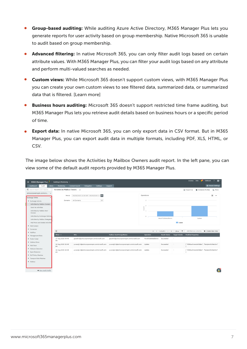- **Group-based auditing:** While auditing Azure Active Directory, M365 Manager Plus lets you generate reports for user activity based on group membership. Native Microsoft 365 is unable to audit based on group membership.
- Advanced filtering: In native Microsoft 365, you can only filter audit logs based on certain attribute values. With M365 Manager Plus, you can filter your audit logs based on any attribute and perform multi-valued searches as needed.
- **Custom views:** While Microsoft 365 doesn't support custom views, with M365 Manager Plus you can create your own custom views to see filtered data, summarized data, or summarized data that is filtered. [Learn more]
- **Business hours auditing:** Microsoft 365 doesn't support restricted time frame auditing, but M365 Manager Plus lets you retrieve audit details based on business hours or a specific period of time.
- **Export data:** In native Microsoft 365, you can only export data in CSV format. But in M365 Manager Plus, you can export audit data in multiple formats, including PDF, XLS, HTML, or CSV.

The image below shows the Activities by Mailbox Owners audit report. In the left pane, you can view some of the default audit reports provided by M365 Manager Plus.

| $\equiv$ M365 Manager Plus            | Auditing & Monitoring $\sim$     |                                           |            |                                           |                    |                                 |                          | <b>Jobs</b><br>License                          | <b>TalkBack</b>   | $\mathbf{e}$             |
|---------------------------------------|----------------------------------|-------------------------------------------|------------|-------------------------------------------|--------------------|---------------------------------|--------------------------|-------------------------------------------------|-------------------|--------------------------|
| Dashboard<br>Audit<br><b>Alerts</b>   | Monitoring                       | <b>Content Search</b><br>Delegation       | Settings   | Support                                   |                    |                                 |                          |                                                 |                   | <b>Q</b> Tenant Settings |
| Q Search Report (Ctrl+Space)          | Activities by Mailbox Owners (?) |                                           |            |                                           |                    |                                 |                          | 뎐 Export As                                     | Schedule Profiles | E: More                  |
| zohocorpwsmopm.onmicro v              |                                  |                                           |            |                                           |                    |                                 |                          |                                                 |                   |                          |
| <b>Exchange Online</b>                | Period                           | 09/08/2020 12:00 AM - 09/09/2020 11       | 論          |                                           | Operations         |                                 |                          |                                                 |                   | $\times$ $\cdot$         |
| Exchange Activity                     | Domains                          | All Domains                               | $_{\rm v}$ |                                           | $\mathbf{R}$       |                                 |                          |                                                 |                   |                          |
| Activities by Mailbox Owners          |                                  |                                           |            |                                           |                    |                                 |                          |                                                 |                   |                          |
| Send As Activities                    |                                  |                                           |            |                                           | Count              |                                 |                          |                                                 |                   |                          |
| Activities by Mailbox Non-<br>Owners  |                                  |                                           |            |                                           |                    |                                 |                          |                                                 |                   |                          |
| Activities by Exchange Admins         |                                  |                                           |            |                                           | $\circ$            | MoveToDeletedItems              |                          | Update                                          |                   |                          |
| Activities by Mailbox Delegates       |                                  |                                           |            |                                           |                    |                                 |                          |                                                 |                   |                          |
| Mail Move and Delete Activities       |                                  |                                           |            |                                           |                    |                                 | Count                    |                                                 |                   |                          |
| Mail Contact                          |                                  |                                           |            |                                           |                    |                                 |                          |                                                 |                   |                          |
| Connector                             | $\alpha$                         |                                           |            |                                           |                    | $\ll$ $\lt$ 1-3 of 3 ><br>$\gg$ | $25 -$                   | Add/Remove Columns                              | + Create New View |                          |
| • Mailflow                            | When $\sim$                      | Who                                       |            | Mailbox UserPrincipalName                 | Operation          | <b>Result Status</b>            | Target Details           | <b>Modified Properties</b>                      |                   |                          |
| Management Roles<br>Public Folder     | 17 Aug 2020 04:49                | gayathri@zohocorpwsmopm.onmicrosoft.com   |            | gayathri@zohocorpwsmopm.onmicrosoft.com   | MoveToDeletedItems | Succeeded                       |                          |                                                 |                   |                          |
| Mailbox Move                          | PM                               |                                           |            |                                           |                    |                                 |                          |                                                 |                   |                          |
| Mail Trace                            | 16 Aug 2020 10:48<br><b>PM</b>   | yuvaraj1.k@zohocorpwsmopm.onmicrosoft.com |            | yuvaraj1.k@zohocorpwsmopm.onmicrosoft.com | Update             | Succeeded                       | $\overline{\phantom{a}}$ | [ "AllAttachmentsHidden", "RecipientCollection" |                   |                          |
| Malware Detection<br>> Spam Detection | 16 Aug 2020 10:48<br>PM          | yuvaraj1.k@zohocorpwsmopm.onmicrosoft.com |            | yuvaraj1.k@zohocorpwsmopm.onmicrosoft.com | Update             | Succeeded                       | ٠                        | [ "AllAttachmentsHidden", "RecipientCollection" |                   |                          |
| DLP Policy Matches                    |                                  |                                           |            |                                           |                    |                                 |                          |                                                 |                   |                          |
| Transport Rule Matches                |                                  |                                           |            |                                           |                    |                                 |                          |                                                 |                   |                          |
| • Mailbox                             |                                  |                                           |            |                                           |                    |                                 |                          |                                                 |                   |                          |
|                                       |                                  |                                           |            |                                           |                    |                                 |                          |                                                 |                   |                          |

New Audit Profile

 $\mathbf{e}^{\bullet}$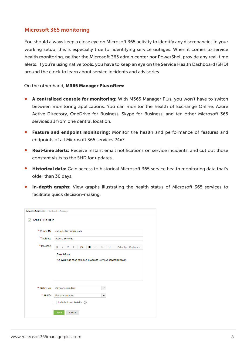## Microsoft 365 monitoring

You should always keep a close eye on Microsoft 365 activity to identify any discrepancies in your working setup; this is especially true for identifying service outages. When it comes to service health monitoring, neither the Microsoft 365 admin center nor PowerShell provide any real-time alerts. If you're using native tools, you have to keep an eye on the Service Health Dashboard (SHD) around the clock to learn about service incidents and advisories.

On the other hand, M365 Manager Plus offers:

- **A centralized console for monitoring:** With M365 Manager Plus, you won't have to switch between monitoring applications. You can monitor the health of Exchange Online, Azure Active Directory, OneDrive for Business, Skype for Business, and ten other Microsoft 365 services all from one central location.
- Feature and endpoint monitoring: Monitor the health and performance of features and  $\bullet$ endpoints of all Microsoft 365 services 24x7.
- **Real-time alerts:** Receive instant email notifications on service incidents, and cut out those constant visits to the SHD for updates.
- Historical data: Gain access to historical Microsoft 365 service health monitoring data that's older than 30 days.
- In-depth graphs: View graphs illustrating the health status of Microsoft 365 services to facilitate quick decision-making.

| <b>Enable Notification</b> |                                                                                     |
|----------------------------|-------------------------------------------------------------------------------------|
| * E-mail ID                | example@example.com                                                                 |
| * Subject                  | <b>Access Services</b>                                                              |
| * Message                  | B $I \subseteq$ F: 10 = $\equiv$ $\equiv$ $\Leftrightarrow$ Priority: Medium $\sim$ |
|                            | Dear Admin,<br>An event has been detected in Access Services service/endpoint.      |
|                            |                                                                                     |
| * Notify On                | Advisory, Incident<br>v                                                             |
| * Notify                   | Every occurence<br>v                                                                |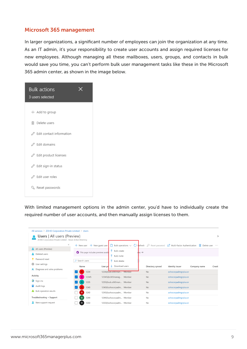## Microsoft 365 management

In larger organizations, a significant number of employees can join the organization at any time. As an IT admin, it's your responsibility to create user accounts and assign required licenses for new employees. Although managing all these mailboxes, users, groups, and contacts in bulk would save you time, you can't perform bulk user management tasks like these in the Microsoft 365 admin center, as shown in the image below.



With limited management options in the admin center, you'd have to individually create the required number of user accounts, and then manually assign licenses to them.

| <b>Users</b>   All users (Preview)<br>ZOHO Corporation Private Limited - Azure Active Directory |                                    |                                                              |                  |                                                   |                | $\times$ |
|-------------------------------------------------------------------------------------------------|------------------------------------|--------------------------------------------------------------|------------------|---------------------------------------------------|----------------|----------|
|                                                                                                 | $\ll$<br>$+$ New user              | Bulk operations $\vee$<br>$+$ New quest user<br>Fefresh<br>O |                  | Reset password $\Box$ Multi-Factor Authentication | in Delete user | $\cdots$ |
| All users (Preview)                                                                             |                                    | $\overline{\wedge}$<br>Bulk create                           |                  |                                                   |                |          |
| Deleted users                                                                                   | This page includes previews availa | e <mark>l</mark> vs →<br>$\uparrow$ Bulk invite              |                  |                                                   |                |          |
| Password reset                                                                                  | O Search users                     | ᄎ<br>Bulk delete                                             |                  |                                                   |                |          |
| User settings<br>503                                                                            | Name                               | $\downarrow$ Download users<br>User pr                       | Directory synced | Identity issuer                                   | Company name   | Creati   |
| $\mathsf{\times}$ Diagnose and solve problems                                                   | 12 <sup>2</sup><br>1234            | 1234@sub.o365man Member                                      | No               | zohocorpadmqrplus.or                              |                |          |
| Activity                                                                                        | 12345<br>12                        | 12345@o365manaq Member                                       | <b>No</b>        | zohocorpadmqrplus.or                              |                |          |
| $\partial$ Sign-ins                                                                             | 1235                               | 1235@sub.o365man Member                                      | <b>No</b>        | zohocorpadmgrplus.or                              |                |          |
| Audit logs                                                                                      | 1240<br>12                         | 1240@zohocorpadm Member                                      | No               | zohocorpadmgrplus.or                              |                |          |
| <b>Bulk operation results</b>                                                                   | 12 <sup>2</sup><br>1243            | 1243@zohocorpadm Member                                      | No               | zohocorpadmgrplus.or                              |                |          |
| Troubleshooting + Support                                                                       | 12 <sub>2</sub><br>1244            | 1244@zohocorpadm Member                                      | No               | zohocorpadmqrplus.or                              |                |          |
| New support request                                                                             | $12-12$<br>1250                    | 1250@zohocorpadm Member                                      | No               | zohocorpadmgrplus.or                              |                |          |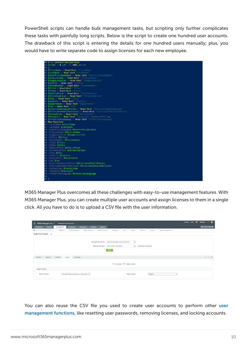PowerShell scripts can handle bulk management tasks, but scripting only further complicates these tasks with painfully long scripts. Below is the script to create one hundred user accounts. The drawback of this script is entering the details for one hundred users manually; plus, you would have to write separate code to assign licenses for each new employee.



M365 Manager Plus overcomes all these challenges with easy-to-use management features. With M365 Manager Plus, you can create multiple user accounts and assign licenses to them in a single click. All you have to do is to upload a CSV file with the user information.

| $\equiv$ M365 Manager Plus<br>Management & Reporting $\sim$                                                                                                                                       | License Jobs | $\sqrt{3}$ | TalkBack                 | $\mathbf{e}$<br>$\overline{?}$ |  |
|---------------------------------------------------------------------------------------------------------------------------------------------------------------------------------------------------|--------------|------------|--------------------------|--------------------------------|--|
| Settings<br>Dashboard<br>Automation<br><b>Reports</b><br><b>Delegation</b><br>Support<br>Management                                                                                               |              |            | <b>Q</b> Tenant Settings |                                |  |
| Q Search Action (Ctrl+Space)<br>Mailbox $-$<br>Shared Mailbox =<br>Mobile Devices v<br>License v Team Management v<br>Public Folders =<br>Calendar $=$<br>User $-$<br>$Group -$<br>Contact $\sim$ |              |            |                          |                                |  |
| Single User Creation 2                                                                                                                                                                            |              |            |                          |                                |  |
|                                                                                                                                                                                                   |              |            |                          |                                |  |
| $\check{~}$<br>Microsoft 365 Tenant<br>zohocorpwsmopm.onmicrosoft.com                                                                                                                             |              |            |                          |                                |  |
| $_{\rm v}$<br><b>Create New Templates</b><br>Selected Template<br>User Creation Template                                                                                                          |              |            |                          |                                |  |
|                                                                                                                                                                                                   |              |            |                          |                                |  |
| Apply                                                                                                                                                                                             |              |            |                          |                                |  |
|                                                                                                                                                                                                   |              |            |                          |                                |  |
| License<br>Exchange<br>General<br>Account<br>Contact                                                                                                                                              |              |            |                          | $\longleftrightarrow$ $\lor$   |  |
|                                                                                                                                                                                                   |              |            |                          |                                |  |
| ◯ No License ● Assign License                                                                                                                                                                     |              |            |                          |                                |  |
| Assign License                                                                                                                                                                                    |              |            |                          |                                |  |
|                                                                                                                                                                                                   |              |            |                          |                                |  |
| Microsoft Teams Exploratory, Power-BI s v<br>Select Licenses<br>Usage location<br>Algeria<br>$\checkmark$                                                                                         |              |            |                          |                                |  |
|                                                                                                                                                                                                   |              |            |                          |                                |  |

You can also reuse the CSV file you used to create [user](https://www.manageengine.com/microsoft-365-management-reporting/azure-active-directory-management.html?utm_source=pdf&utm_content=mmp-does-ps-cant-pdf) accounts to perform other user [management functions,](https://www.manageengine.com/microsoft-365-management-reporting/azure-active-directory-management.html?utm_source=pdf&utm_content=mmp-does-ps-cant-pdf) like resetting user passwords, removing licenses, and locking accounts.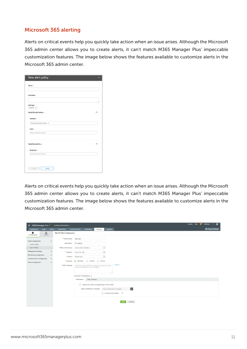## Microsoft 365 alerting

Alerts on critical events help you quickly take action when an issue arises. Although the Microsoft 365 admin center allows you to create alerts, it can't match M365 Manager Plus' impeccable customization features. The image below shows the features available to customize alerts in the Microsoft 365 admin center.

| Nome *:                        |   |
|--------------------------------|---|
|                                |   |
| Description                    |   |
|                                |   |
| Alert type                     |   |
| Custom =                       |   |
| Send this alert when           | А |
| Activities T.                  |   |
| Choose activities for allert = |   |
| <b>Users:</b>                  |   |
| they results for all users.    |   |
|                                |   |
|                                |   |
| Send this alert to  .          | ۸ |
| Recipients*:                   |   |
| Show results for all users.    |   |
|                                |   |
|                                |   |
|                                |   |

Alerts on critical events help you quickly take action when an issue arises. Although the Microsoft 365 admin center allows you to create alerts, it can't match M365 Manager Plus' impeccable customization features. The image below shows the features available to customize alerts in the Microsoft 365 admin center.

| $\equiv$ M365 Manager Plus                                      |             |        | Auditing & Monitoring $\sim$ |                                                                               |                                                                                                      |                        |         |                                                                              |        |  | License   Jobs | $\mathbf{R}^3$ | TalkBack | $\mathbf{e}$<br>$\overline{\phantom{a}}$ |
|-----------------------------------------------------------------|-------------|--------|------------------------------|-------------------------------------------------------------------------------|------------------------------------------------------------------------------------------------------|------------------------|---------|------------------------------------------------------------------------------|--------|--|----------------|----------------|----------|------------------------------------------|
| Dashboard                                                       | Audit       | Alerts | Monitoring                   | <b>Content Search</b>                                                         | Delegation                                                                                           | Settings               | Support |                                                                              |        |  |                |                |          | <b>Q</b> Tenant Settings                 |
| ÷.<br>Configuration                                             | చి<br>Admin |        | Alert Profile Configuration  |                                                                               |                                                                                                      |                        |         |                                                                              |        |  |                |                |          |                                          |
| Audit Configuration                                             |             |        | * Profile Name               | Test alert                                                                    |                                                                                                      |                        |         |                                                                              |        |  |                |                |          |                                          |
| Audit Profiles                                                  |             |        | Description                  | For testing                                                                   |                                                                                                      |                        |         |                                                                              |        |  |                |                |          |                                          |
| Alert Profiles                                                  |             |        | * Office 365 Service         | Azure Active Directory                                                        |                                                                                                      | $_{\rm v}$             |         |                                                                              |        |  |                |                |          |                                          |
| Management Settings                                             |             |        | * Category                   | Azure AD user                                                                 |                                                                                                      | $_{\rm v}$             |         |                                                                              |        |  |                |                |          |                                          |
| Monitoring Configuration<br><b>Content Search Configuration</b> |             |        | * Actions                    | Added user                                                                    |                                                                                                      | $_{\rm v}$             |         |                                                                              |        |  |                |                |          |                                          |
| Other Configuration                                             |             |        | * Severity                   | attention                                                                     | $\bigcap$ Trouble                                                                                    | $\bigcirc$<br>Critical |         |                                                                              |        |  |                |                |          |                                          |
|                                                                 |             |        | * Alert Message              | %CALLER_USER_NAME% changed permission for the<br>mailbox %MAILBOX_ALIAS_NAME% |                                                                                                      |                        |         | Macros                                                                       |        |  |                |                |          |                                          |
|                                                                 |             |        |                              | Advanced Configuration +                                                      |                                                                                                      |                        |         |                                                                              |        |  |                |                |          |                                          |
|                                                                 |             |        |                              | Notification                                                                  | Filter Settings                                                                                      |                        |         |                                                                              |        |  |                |                |          |                                          |
|                                                                 |             |        |                              |                                                                               | $\sqrt{\phantom{a}}$ Email every alert corresponding to this profile<br>Select Notification Template |                        |         | Select Notification Template<br>$\sqrt{}$ Include event details. $\circledR$ | Ŀ      |  |                |                |          |                                          |
|                                                                 |             |        |                              |                                                                               |                                                                                                      |                        |         | Add                                                                          | Cancel |  |                |                |          |                                          |